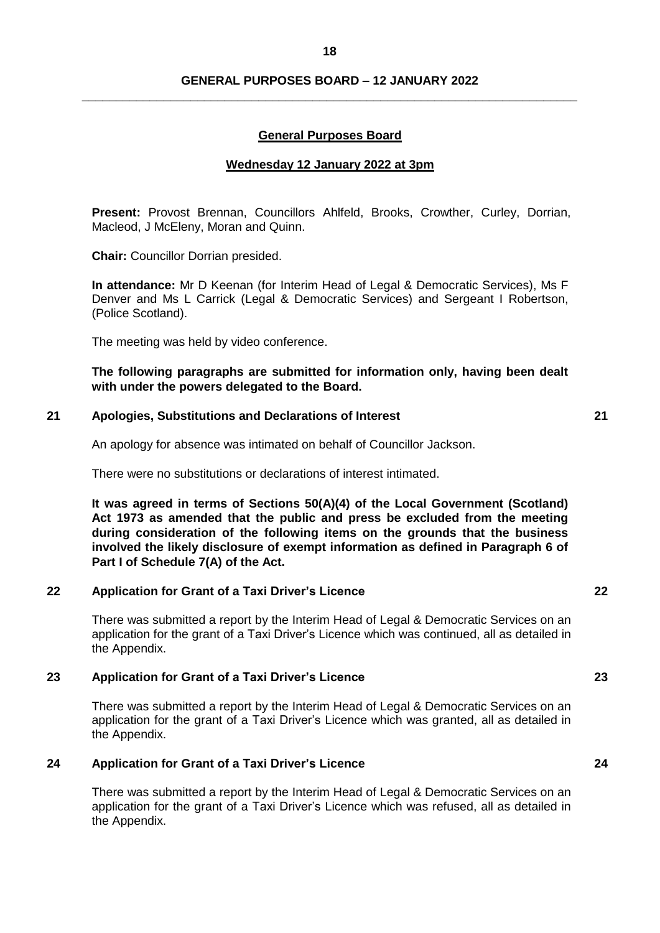## **GENERAL PURPOSES BOARD – 12 JANUARY 2022 \_\_\_\_\_\_\_\_\_\_\_\_\_\_\_\_\_\_\_\_\_\_\_\_\_\_\_\_\_\_\_\_\_\_\_\_\_\_\_\_\_\_\_\_\_\_\_\_\_\_\_\_\_\_\_\_\_\_\_\_\_\_\_\_\_\_\_\_\_\_\_\_\_**

## **General Purposes Board**

## **Wednesday 12 January 2022 at 3pm**

**Present:** Provost Brennan, Councillors Ahlfeld, Brooks, Crowther, Curley, Dorrian, Macleod, J McEleny, Moran and Quinn.

**Chair:** Councillor Dorrian presided.

**In attendance:** Mr D Keenan (for Interim Head of Legal & Democratic Services), Ms F Denver and Ms L Carrick (Legal & Democratic Services) and Sergeant I Robertson, (Police Scotland).

The meeting was held by video conference.

## **The following paragraphs are submitted for information only, having been dealt with under the powers delegated to the Board.**

#### **21 Apologies, Substitutions and Declarations of Interest 21**

An apology for absence was intimated on behalf of Councillor Jackson.

There were no substitutions or declarations of interest intimated.

**It was agreed in terms of Sections 50(A)(4) of the Local Government (Scotland) Act 1973 as amended that the public and press be excluded from the meeting during consideration of the following items on the grounds that the business involved the likely disclosure of exempt information as defined in Paragraph 6 of Part I of Schedule 7(A) of the Act.**

### **22 Application for Grant of a Taxi Driver's Licence 22**

There was submitted a report by the Interim Head of Legal & Democratic Services on an application for the grant of a Taxi Driver's Licence which was continued, all as detailed in the Appendix.

## **23 Application for Grant of a Taxi Driver's Licence 23**

There was submitted a report by the Interim Head of Legal & Democratic Services on an application for the grant of a Taxi Driver's Licence which was granted, all as detailed in the Appendix.

## **24 Application for Grant of a Taxi Driver's Licence 24**

There was submitted a report by the Interim Head of Legal & Democratic Services on an application for the grant of a Taxi Driver's Licence which was refused, all as detailed in the Appendix.